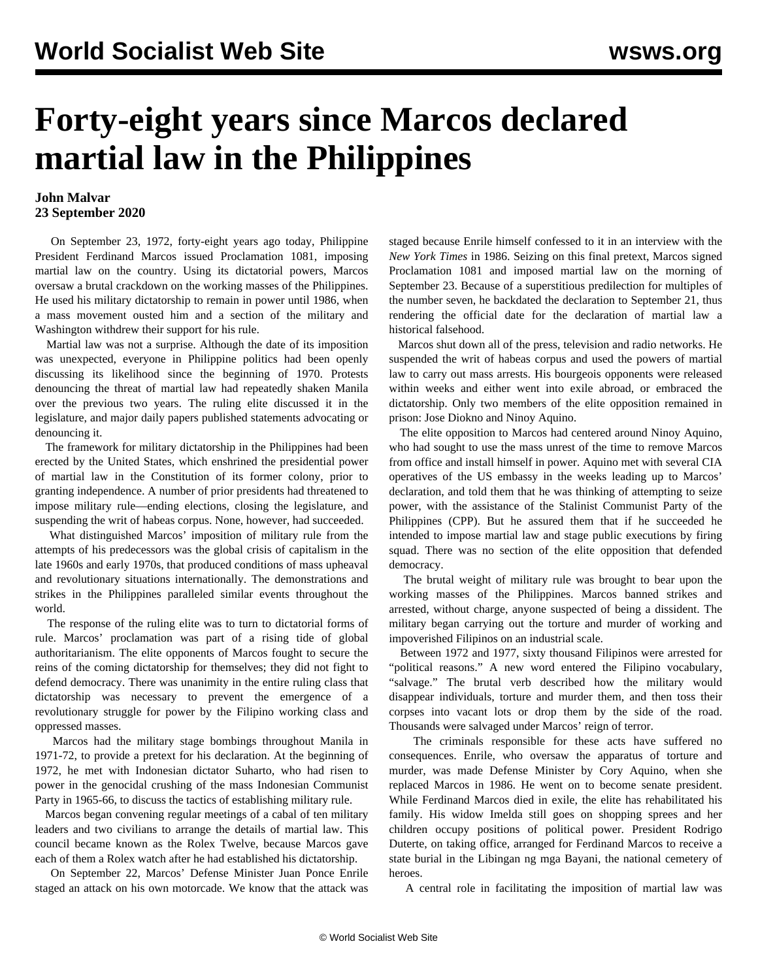## **Forty-eight years since Marcos declared martial law in the Philippines**

## **John Malvar 23 September 2020**

 On September 23, 1972, forty-eight years ago today, Philippine President Ferdinand Marcos issued Proclamation 1081, imposing martial law on the country. Using its dictatorial powers, Marcos oversaw a brutal crackdown on the working masses of the Philippines. He used his military dictatorship to remain in power until 1986, when a mass movement ousted him and a section of the military and Washington withdrew their support for his rule.

 Martial law was not a surprise. Although the date of its imposition was unexpected, everyone in Philippine politics had been openly discussing its likelihood since the beginning of 1970. Protests denouncing the threat of martial law had repeatedly shaken Manila over the previous two years. The ruling elite discussed it in the legislature, and major daily papers published statements advocating or denouncing it.

 The framework for military dictatorship in the Philippines had been erected by the United States, which enshrined the presidential power of martial law in the Constitution of its former colony, prior to granting independence. A number of prior presidents had threatened to impose military rule—ending elections, closing the legislature, and suspending the writ of habeas corpus. None, however, had succeeded.

 What distinguished Marcos' imposition of military rule from the attempts of his predecessors was the global crisis of capitalism in the late 1960s and early 1970s, that produced conditions of mass upheaval and revolutionary situations internationally. The demonstrations and strikes in the Philippines paralleled similar events throughout the world.

 The response of the ruling elite was to turn to dictatorial forms of rule. Marcos' proclamation was part of a rising tide of global authoritarianism. The elite opponents of Marcos fought to secure the reins of the coming dictatorship for themselves; they did not fight to defend democracy. There was unanimity in the entire ruling class that dictatorship was necessary to prevent the emergence of a revolutionary struggle for power by the Filipino working class and oppressed masses.

 Marcos had the military stage bombings throughout Manila in 1971-72, to provide a pretext for his declaration. At the beginning of 1972, he met with Indonesian dictator Suharto, who had risen to power in the genocidal crushing of the mass Indonesian Communist Party in 1965-66, to discuss the tactics of establishing military rule.

 Marcos began convening regular meetings of a cabal of ten military leaders and two civilians to arrange the details of martial law. This council became known as the Rolex Twelve, because Marcos gave each of them a Rolex watch after he had established his dictatorship.

 On September 22, Marcos' Defense Minister Juan Ponce Enrile staged an attack on his own motorcade. We know that the attack was staged because Enrile himself confessed to it in an interview with the *New York Times* in 1986. Seizing on this final pretext, Marcos signed Proclamation 1081 and imposed martial law on the morning of September 23. Because of a superstitious predilection for multiples of the number seven, he backdated the declaration to September 21, thus rendering the official date for the declaration of martial law a historical falsehood.

 Marcos shut down all of the press, television and radio networks. He suspended the writ of habeas corpus and used the powers of martial law to carry out mass arrests. His bourgeois opponents were released within weeks and either went into exile abroad, or embraced the dictatorship. Only two members of the elite opposition remained in prison: Jose Diokno and Ninoy Aquino.

 The elite opposition to Marcos had centered around Ninoy Aquino, who had sought to use the mass unrest of the time to remove Marcos from office and install himself in power. Aquino met with several CIA operatives of the US embassy in the weeks leading up to Marcos' declaration, and told them that he was thinking of attempting to seize power, with the assistance of the Stalinist Communist Party of the Philippines (CPP). But he assured them that if he succeeded he intended to impose martial law and stage public executions by firing squad. There was no section of the elite opposition that defended democracy.

 The brutal weight of military rule was brought to bear upon the working masses of the Philippines. Marcos banned strikes and arrested, without charge, anyone suspected of being a dissident. The military began carrying out the torture and murder of working and impoverished Filipinos on an industrial scale.

 Between 1972 and 1977, sixty thousand Filipinos were arrested for "political reasons." A new word entered the Filipino vocabulary, "salvage." The brutal verb described how the military would disappear individuals, torture and murder them, and then toss their corpses into vacant lots or drop them by the side of the road. Thousands were salvaged under Marcos' reign of terror.

 The criminals responsible for these acts have suffered no consequences. Enrile, who oversaw the apparatus of torture and murder, was made Defense Minister by Cory Aquino, when she replaced Marcos in 1986. He went on to become senate president. While Ferdinand Marcos died in exile, the elite has rehabilitated his family. His widow Imelda still goes on shopping sprees and her children occupy positions of political power. President Rodrigo Duterte, on taking office, arranged for Ferdinand Marcos to receive a state burial in the Libingan ng mga Bayani, the national cemetery of heroes.

A central role in facilitating the imposition of martial law was